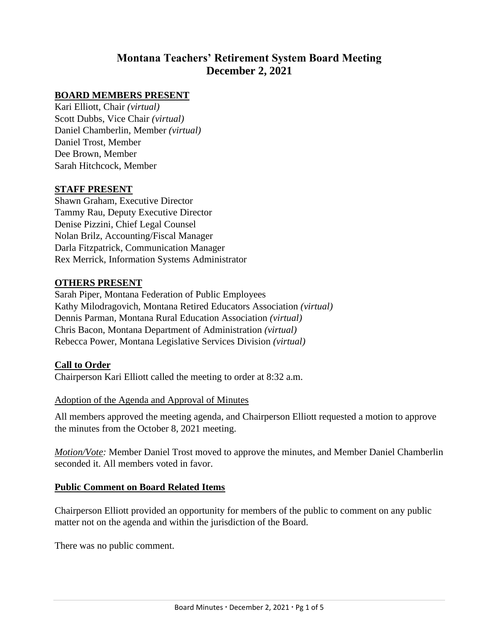# **Montana Teachers' Retirement System Board Meeting December 2, 2021**

# **BOARD MEMBERS PRESENT**

Kari Elliott, Chair *(virtual)* Scott Dubbs, Vice Chair *(virtual)* Daniel Chamberlin, Member *(virtual)* Daniel Trost, Member Dee Brown, Member Sarah Hitchcock, Member

### **STAFF PRESENT**

Shawn Graham, Executive Director Tammy Rau, Deputy Executive Director Denise Pizzini, Chief Legal Counsel Nolan Brilz, Accounting/Fiscal Manager Darla Fitzpatrick, Communication Manager Rex Merrick, Information Systems Administrator

### **OTHERS PRESENT**

Sarah Piper, Montana Federation of Public Employees Kathy Milodragovich, Montana Retired Educators Association *(virtual)* Dennis Parman, Montana Rural Education Association *(virtual)* Chris Bacon, Montana Department of Administration *(virtual)* Rebecca Power, Montana Legislative Services Division *(virtual)*

#### **Call to Order**

Chairperson Kari Elliott called the meeting to order at 8:32 a.m.

#### Adoption of the Agenda and Approval of Minutes

All members approved the meeting agenda, and Chairperson Elliott requested a motion to approve the minutes from the October 8, 2021 meeting.

*Motion/Vote:* Member Daniel Trost moved to approve the minutes, and Member Daniel Chamberlin seconded it. All members voted in favor.

#### **Public Comment on Board Related Items**

Chairperson Elliott provided an opportunity for members of the public to comment on any public matter not on the agenda and within the jurisdiction of the Board.

There was no public comment.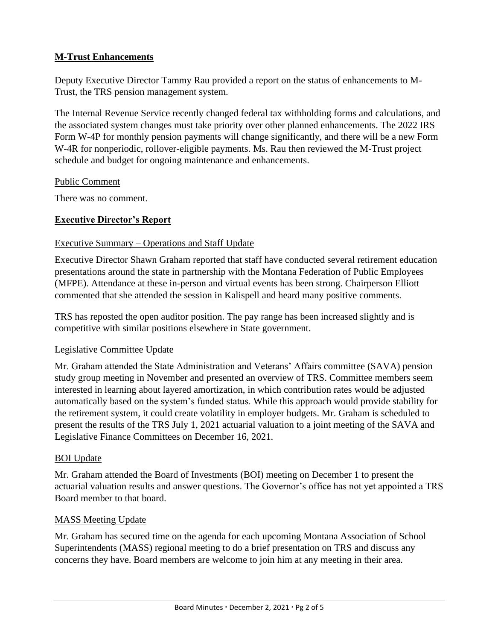# **M-Trust Enhancements**

Deputy Executive Director Tammy Rau provided a report on the status of enhancements to M-Trust, the TRS pension management system.

The Internal Revenue Service recently changed federal tax withholding forms and calculations, and the associated system changes must take priority over other planned enhancements. The 2022 IRS Form W-4P for monthly pension payments will change significantly, and there will be a new Form W-4R for nonperiodic, rollover-eligible payments. Ms. Rau then reviewed the M-Trust project schedule and budget for ongoing maintenance and enhancements.

# Public Comment

There was no comment.

# **Executive Director's Report**

# Executive Summary – Operations and Staff Update

Executive Director Shawn Graham reported that staff have conducted several retirement education presentations around the state in partnership with the Montana Federation of Public Employees (MFPE). Attendance at these in-person and virtual events has been strong. Chairperson Elliott commented that she attended the session in Kalispell and heard many positive comments.

TRS has reposted the open auditor position. The pay range has been increased slightly and is competitive with similar positions elsewhere in State government.

#### Legislative Committee Update

Mr. Graham attended the State Administration and Veterans' Affairs committee (SAVA) pension study group meeting in November and presented an overview of TRS. Committee members seem interested in learning about layered amortization, in which contribution rates would be adjusted automatically based on the system's funded status. While this approach would provide stability for the retirement system, it could create volatility in employer budgets. Mr. Graham is scheduled to present the results of the TRS July 1, 2021 actuarial valuation to a joint meeting of the SAVA and Legislative Finance Committees on December 16, 2021.

# BOI Update

Mr. Graham attended the Board of Investments (BOI) meeting on December 1 to present the actuarial valuation results and answer questions. The Governor's office has not yet appointed a TRS Board member to that board.

# MASS Meeting Update

Mr. Graham has secured time on the agenda for each upcoming Montana Association of School Superintendents (MASS) regional meeting to do a brief presentation on TRS and discuss any concerns they have. Board members are welcome to join him at any meeting in their area.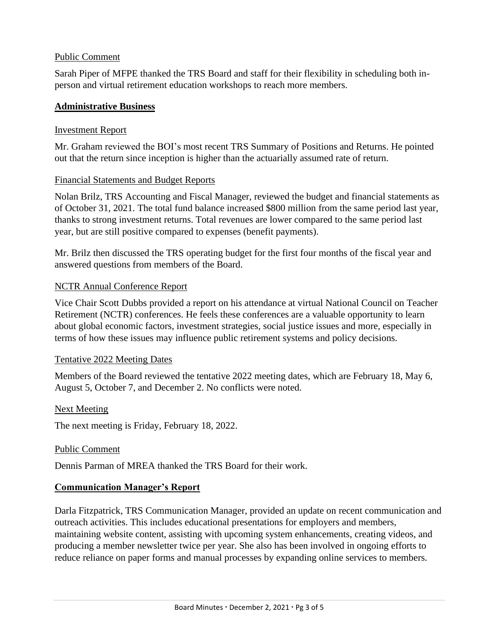### Public Comment

Sarah Piper of MFPE thanked the TRS Board and staff for their flexibility in scheduling both inperson and virtual retirement education workshops to reach more members.

# **Administrative Business**

### Investment Report

Mr. Graham reviewed the BOI's most recent TRS Summary of Positions and Returns. He pointed out that the return since inception is higher than the actuarially assumed rate of return.

#### Financial Statements and Budget Reports

Nolan Brilz, TRS Accounting and Fiscal Manager, reviewed the budget and financial statements as of October 31, 2021. The total fund balance increased \$800 million from the same period last year, thanks to strong investment returns. Total revenues are lower compared to the same period last year, but are still positive compared to expenses (benefit payments).

Mr. Brilz then discussed the TRS operating budget for the first four months of the fiscal year and answered questions from members of the Board.

### NCTR Annual Conference Report

Vice Chair Scott Dubbs provided a report on his attendance at virtual National Council on Teacher Retirement (NCTR) conferences. He feels these conferences are a valuable opportunity to learn about global economic factors, investment strategies, social justice issues and more, especially in terms of how these issues may influence public retirement systems and policy decisions.

#### Tentative 2022 Meeting Dates

Members of the Board reviewed the tentative 2022 meeting dates, which are February 18, May 6, August 5, October 7, and December 2. No conflicts were noted.

#### Next Meeting

The next meeting is Friday, February 18, 2022.

#### Public Comment

Dennis Parman of MREA thanked the TRS Board for their work.

# **Communication Manager's Report**

Darla Fitzpatrick, TRS Communication Manager, provided an update on recent communication and outreach activities. This includes educational presentations for employers and members, maintaining website content, assisting with upcoming system enhancements, creating videos, and producing a member newsletter twice per year. She also has been involved in ongoing efforts to reduce reliance on paper forms and manual processes by expanding online services to members.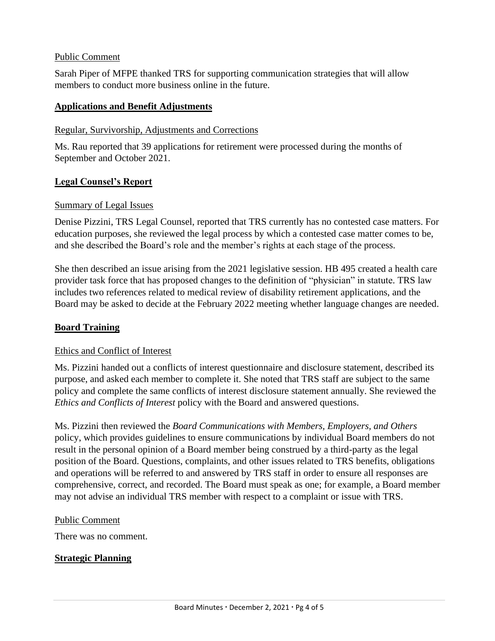### Public Comment

Sarah Piper of MFPE thanked TRS for supporting communication strategies that will allow members to conduct more business online in the future.

### **Applications and Benefit Adjustments**

### Regular, Survivorship, Adjustments and Corrections

Ms. Rau reported that 39 applications for retirement were processed during the months of September and October 2021.

# **Legal Counsel's Report**

### Summary of Legal Issues

Denise Pizzini, TRS Legal Counsel, reported that TRS currently has no contested case matters. For education purposes, she reviewed the legal process by which a contested case matter comes to be, and she described the Board's role and the member's rights at each stage of the process.

She then described an issue arising from the 2021 legislative session. HB 495 created a health care provider task force that has proposed changes to the definition of "physician" in statute. TRS law includes two references related to medical review of disability retirement applications, and the Board may be asked to decide at the February 2022 meeting whether language changes are needed.

# **Board Training**

# Ethics and Conflict of Interest

Ms. Pizzini handed out a conflicts of interest questionnaire and disclosure statement, described its purpose, and asked each member to complete it. She noted that TRS staff are subject to the same policy and complete the same conflicts of interest disclosure statement annually. She reviewed the *Ethics and Conflicts of Interest* policy with the Board and answered questions.

Ms. Pizzini then reviewed the *Board Communications with Members, Employers, and Others* policy, which provides guidelines to ensure communications by individual Board members do not result in the personal opinion of a Board member being construed by a third-party as the legal position of the Board. Questions, complaints, and other issues related to TRS benefits, obligations and operations will be referred to and answered by TRS staff in order to ensure all responses are comprehensive, correct, and recorded. The Board must speak as one; for example, a Board member may not advise an individual TRS member with respect to a complaint or issue with TRS.

# Public Comment

There was no comment.

# **Strategic Planning**